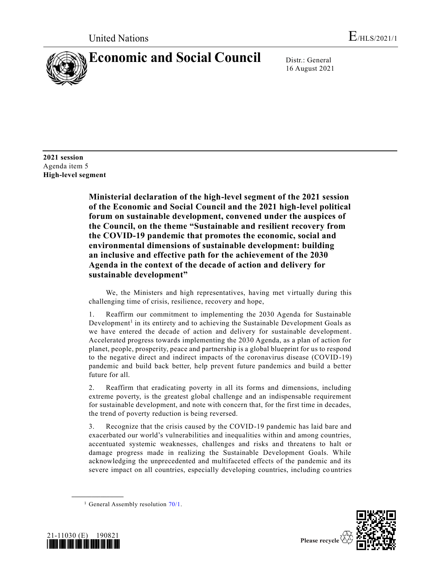

16 August 2021

**2021 session** Agenda item 5 **High-level segment**

> **Ministerial declaration of the high-level segment of the 2021 session of the Economic and Social Council and the 2021 high-level political forum on sustainable development, convened under the auspices of the Council, on the theme "Sustainable and resilient recovery from the COVID-19 pandemic that promotes the economic, social and environmental dimensions of sustainable development: building an inclusive and effective path for the achievement of the 2030 Agenda in the context of the decade of action and delivery for sustainable development"**

> We, the Ministers and high representatives, having met virtually during this challenging time of crisis, resilience, recovery and hope,

> 1. Reaffirm our commitment to implementing the 2030 Agenda for Sustainable Development<sup>1</sup> in its entirety and to achieving the Sustainable Development Goals as we have entered the decade of action and delivery for sustainable development. Accelerated progress towards implementing the 2030 Agenda, as a plan of action for planet, people, prosperity, peace and partnership is a global blueprint for us to respond to the negative direct and indirect impacts of the coronavirus disease (COVID-19) pandemic and build back better, help prevent future pandemics and build a better future for all.

> 2. Reaffirm that eradicating poverty in all its forms and dimensions, including extreme poverty, is the greatest global challenge and an indispensable requirement for sustainable development, and note with concern that, for the first time in decades, the trend of poverty reduction is being reversed.

> 3. Recognize that the crisis caused by the COVID-19 pandemic has laid bare and exacerbated our world's vulnerabilities and inequalities within and among countries, accentuated systemic weaknesses, challenges and risks and threatens to halt or damage progress made in realizing the Sustainable Development Goals. While acknowledging the unprecedented and multifaceted effects of the pandemic and its severe impact on all countries, especially developing countries, including co untries

<sup>&</sup>lt;sup>1</sup> General Assembly resolution  $70/1$ .



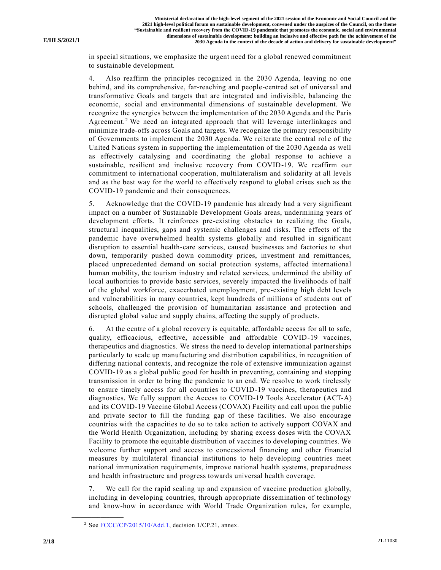in special situations, we emphasize the urgent need for a global renewed commitment to sustainable development.

4. Also reaffirm the principles recognized in the 2030 Agenda, leaving no one behind, and its comprehensive, far-reaching and people-centred set of universal and transformative Goals and targets that are integrated and indivisible, balancing the economic, social and environmental dimensions of sustainable development. We recognize the synergies between the implementation of the 2030 Agenda and the Paris Agreement.<sup>2</sup> We need an integrated approach that will leverage interlinkages and minimize trade-offs across Goals and targets. We recognize the primary responsibility of Governments to implement the 2030 Agenda. We reiterate the central rol e of the United Nations system in supporting the implementation of the 2030 Agenda as well as effectively catalysing and coordinating the global response to achieve a sustainable, resilient and inclusive recovery from COVID-19. We reaffirm our commitment to international cooperation, multilateralism and solidarity at all levels and as the best way for the world to effectively respond to global crises such as the COVID-19 pandemic and their consequences.

5. Acknowledge that the COVID-19 pandemic has already had a very significant impact on a number of Sustainable Development Goals areas, undermining years of development efforts. It reinforces pre-existing obstacles to realizing the Goals, structural inequalities, gaps and systemic challenges and risks. The e ffects of the pandemic have overwhelmed health systems globally and resulted in significant disruption to essential health-care services, caused businesses and factories to shut down, temporarily pushed down commodity prices, investment and remittances, placed unprecedented demand on social protection systems, affected international human mobility, the tourism industry and related services, undermined the ability of local authorities to provide basic services, severely impacted the livelihoods of half of the global workforce, exacerbated unemployment, pre-existing high debt levels and vulnerabilities in many countries, kept hundreds of millions of students out of schools, challenged the provision of humanitarian assistance and protection and disrupted global value and supply chains, affecting the supply of products.

6. At the centre of a global recovery is equitable, affordable access for all to safe, quality, efficacious, effective, accessible and affordable COVID-19 vaccines, therapeutics and diagnostics. We stress the need to develop international partnerships particularly to scale up manufacturing and distribution capabilities, in recognition of differing national contexts, and recognize the role of extensive immunization against COVID-19 as a global public good for health in preventing, containing and stopping transmission in order to bring the pandemic to an end. We resolve to work tirelessly to ensure timely access for all countries to COVID-19 vaccines, therapeutics and diagnostics. We fully support the Access to COVID-19 Tools Accelerator (ACT-A) and its COVID-19 Vaccine Global Access (COVAX) Facility and call upon the public and private sector to fill the funding gap of these facilities. We also encourage countries with the capacities to do so to take action to actively support COVAX and the World Health Organization, including by sharing excess doses with the COVAX Facility to promote the equitable distribution of vaccines to developing countries. We welcome further support and access to concessional financing and other financial measures by multilateral financial institutions to help developing countries meet national immunization requirements, improve national health systems, preparedness and health infrastructure and progress towards universal health coverage.

7. We call for the rapid scaling up and expansion of vaccine production globally, including in developing countries, through appropriate dissemination of technology and know-how in accordance with World Trade Organization rules, for example,

<sup>&</sup>lt;sup>2</sup> See [FCCC/CP/2015/10/Add.1,](https://undocs.org/en/FCCC/CP/2015/10/Add.1) decision 1/CP.21, annex.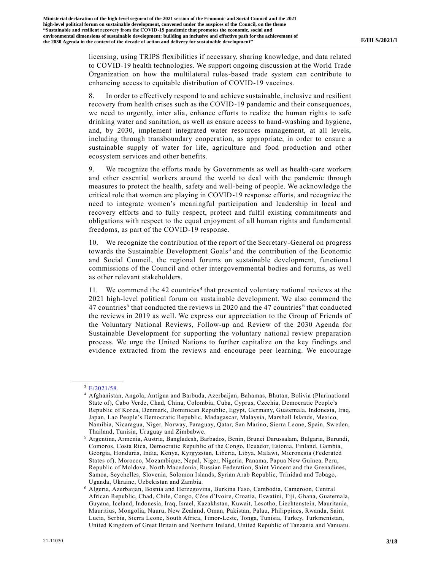licensing, using TRIPS flexibilities if necessary, sharing knowledge, and data related to COVID-19 health technologies. We support ongoing discussion at the World Trade Organization on how the multilateral rules-based trade system can contribute to enhancing access to equitable distribution of COVID-19 vaccines.

8. In order to effectively respond to and achieve sustainable, inclusive and resilient recovery from health crises such as the COVID-19 pandemic and their consequences, we need to urgently, inter alia, enhance efforts to realize the human rights to safe drinking water and sanitation, as well as ensure access to hand-washing and hygiene, and, by 2030, implement integrated water resources management, at all levels, including through transboundary cooperation, as appropriate, in order to ensure a sustainable supply of water for life, agriculture and food production and other ecosystem services and other benefits.

9. We recognize the efforts made by Governments as well as health-care workers and other essential workers around the world to deal with the pandemic through measures to protect the health, safety and well-being of people. We acknowledge the critical role that women are playing in COVID-19 response efforts, and recognize the need to integrate women's meaningful participation and leadership in local and recovery efforts and to fully respect, protect and fulfil existing commitments and obligations with respect to the equal enjoyment of all human rights and fundamental freedoms, as part of the COVID-19 response.

10. We recognize the contribution of the report of the Secretary-General on progress towards the Sustainable Development Goals<sup>3</sup> and the contribution of the Economic and Social Council, the regional forums on sustainable development, functiona l commissions of the Council and other intergovernmental bodies and forums, as well as other relevant stakeholders.

11. We commend the 42 countries<sup>4</sup> that presented voluntary national reviews at the 2021 high-level political forum on sustainable development. We also commend the 47 countries<sup>5</sup> that conducted the reviews in 2020 and the 47 countries<sup>6</sup> that conducted the reviews in 2019 as well. We express our appreciation to the Group of Friends of the Voluntary National Reviews, Follow-up and Review of the 2030 Agenda for Sustainable Development for supporting the voluntary national review preparation process. We urge the United Nations to further capitalize on the key findings and evidence extracted from the reviews and encourage peer learning. We encourage

**\_\_\_\_\_\_\_\_\_\_\_\_\_\_\_\_\_\_**  $3$  [E/2021/58.](https://undocs.org/en/E/2021/58)

<sup>4</sup> Afghanistan, Angola, Antigua and Barbuda, Azerbaijan, Bahamas, Bhutan, Bolivia (Plurinational State of), Cabo Verde, Chad, China, Colombia, Cuba, Cyprus, Czechia, Democratic People's Republic of Korea, Denmark, Dominican Republic, Egypt, Germany, Guatemala, Indonesia, Iraq, Japan, Lao People's Democratic Republic, Madagascar, Malaysia, Marshall Islands, Mexico, Namibia, Nicaragua, Niger, Norway, Paraguay, Qatar, San Marino, Sierra Leone, Spain, Sweden, Thailand, Tunisia, Uruguay and Zimbabwe.

<sup>5</sup> Argentina, Armenia, Austria, Bangladesh, Barbados, Benin, Brunei Darussalam, Bulgaria, Burundi, Comoros, Costa Rica, Democratic Republic of the Congo, Ecuador, Estonia, Finland, Gambia, Georgia, Honduras, India, Kenya, Kyrgyzstan, Liberia, Libya, Malawi, Micronesia (Federated States of), Morocco, Mozambique, Nepal, Niger, Nigeria, Panama, Papua New Guinea, Peru, Republic of Moldova, North Macedonia, Russian Federation, Saint Vincent and the Grenadines, Samoa, Seychelles, Slovenia, Solomon Islands, Syrian Arab Republic, Trinidad and Tobago, Uganda, Ukraine, Uzbekistan and Zambia.

<sup>6</sup> Algeria, Azerbaijan, Bosnia and Herzegovina, Burkina Faso, Cambodia, Cameroon, Central African Republic, Chad, Chile, Congo, Côte d'Ivoire, Croatia, Eswatini, Fiji, Ghana, Guatemala, Guyana, Iceland, Indonesia, Iraq, Israel, Kazakhstan, Kuwait, Lesotho, Liechtenstein, Mauritania, Mauritius, Mongolia, Nauru, New Zealand, Oman, Pakistan, Palau, Philippines, Rwanda, Saint Lucia, Serbia, Sierra Leone, South Africa, Timor-Leste, Tonga, Tunisia, Turkey, Turkmenistan, United Kingdom of Great Britain and Northern Ireland, United Republic of Tanzania and Vanuatu.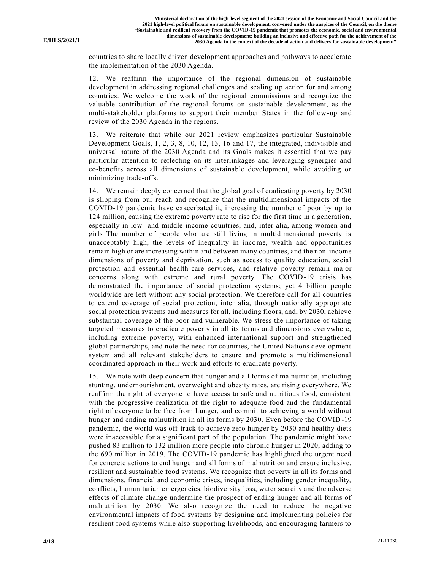countries to share locally driven development approaches and pathways to accelerate the implementation of the 2030 Agenda.

12. We reaffirm the importance of the regional dimension of sustainable development in addressing regional challenges and scaling up action for and among countries. We welcome the work of the regional commissions and recognize the valuable contribution of the regional forums on sustainable development, as the multi-stakeholder platforms to support their member States in the follow-up and review of the 2030 Agenda in the regions.

13. We reiterate that while our 2021 review emphasizes particular Sustainable Development Goals, 1, 2, 3, 8, 10, 12, 13, 16 and 17, the integrated, indivisible and universal nature of the 2030 Agenda and its Goals makes it essential that we pay particular attention to reflecting on its interlinkages and leveraging synergies and co-benefits across all dimensions of sustainable development, while avoiding or minimizing trade-offs.

14. We remain deeply concerned that the global goal of eradicating poverty by 2030 is slipping from our reach and recognize that the multidimensional impacts of the COVID-19 pandemic have exacerbated it, increasing the number of poor by up to 124 million, causing the extreme poverty rate to rise for the first time in a generation, especially in low- and middle-income countries, and, inter alia, among women and girls The number of people who are still living in multidimensional poverty is unacceptably high, the levels of inequality in income, wealth and opportunities remain high or are increasing within and between many countries, and the non-income dimensions of poverty and deprivation, such as access to quality education, social protection and essential health-care services, and relative poverty remain major concerns along with extreme and rural poverty. The COVID-19 crisis has demonstrated the importance of social protection systems; yet 4 billion people worldwide are left without any social protection. We therefore call for all countries to extend coverage of social protection, inter alia, through nationally appropriate social protection systems and measures for all, including floors, and, by 2030, achieve substantial coverage of the poor and vulnerable. We stress the importance of taking targeted measures to eradicate poverty in all its forms and dimensions everywhere, including extreme poverty, with enhanced international support and strengthened global partnerships, and note the need for countries, the United Nations development system and all relevant stakeholders to ensure and promote a multidimensional coordinated approach in their work and efforts to eradicate poverty.

15. We note with deep concern that hunger and all forms of malnutrition, including stunting, undernourishment, overweight and obesity rates, are rising everywhere. We reaffirm the right of everyone to have access to safe and nutritious food, consistent with the progressive realization of the right to adequate food and the fundamental right of everyone to be free from hunger, and commit to achieving a world without hunger and ending malnutrition in all its forms by 2030. Even before the COVID-19 pandemic, the world was off-track to achieve zero hunger by 2030 and healthy diets were inaccessible for a significant part of the population. The pandemic might have pushed 83 million to 132 million more people into chronic hunger in 2020, adding to the 690 million in 2019. The COVID-19 pandemic has highlighted the urgent need for concrete actions to end hunger and all forms of malnutrition and ensure inclusive, resilient and sustainable food systems. We recognize that poverty in all its forms and dimensions, financial and economic crises, inequalities, including gender inequality, conflicts, humanitarian emergencies, biodiversity loss, water scarcity and the adverse effects of climate change undermine the prospect of ending hunger and all forms of malnutrition by 2030. We also recognize the need to reduce the negative environmental impacts of food systems by designing and implementing policies for resilient food systems while also supporting livelihoods, and encouraging farmers to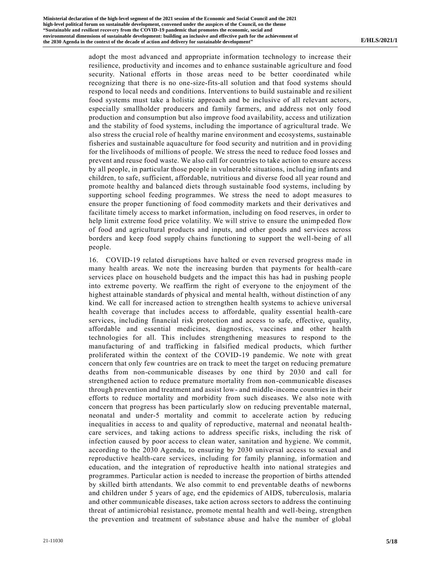adopt the most advanced and appropriate information technology to increase their resilience, productivity and incomes and to enhance sustainable agriculture and food security. National efforts in those areas need to be better coordinated while recognizing that there is no one-size-fits-all solution and that food systems should respond to local needs and conditions. Interventions to build sustainable and re silient food systems must take a holistic approach and be inclusive of all relevant actors, especially smallholder producers and family farmers, and address not only food production and consumption but also improve food availability, access and utilization and the stability of food systems, including the importance of agricultural trade. We also stress the crucial role of healthy marine environment and ecosystems, sustainable fisheries and sustainable aquaculture for food security and nutrition and in provi ding for the livelihoods of millions of people. We stress the need to reduce food losses and prevent and reuse food waste. We also call for countries to take action to ensure access by all people, in particular those people in vulnerable situations, including infants and children, to safe, sufficient, affordable, nutritious and diverse food all year round and promote healthy and balanced diets through sustainable food systems, including by supporting school feeding programmes. We stress the need to adopt me asures to ensure the proper functioning of food commodity markets and their derivatives and facilitate timely access to market information, including on food reserves, in order to help limit extreme food price volatility. We will strive to ensure the unimpeded flow of food and agricultural products and inputs, and other goods and services across borders and keep food supply chains functioning to support the well-being of all people.

16. COVID-19 related disruptions have halted or even reversed progress made in many health areas. We note the increasing burden that payments for health-care services place on household budgets and the impact this has had in pushing people into extreme poverty. We reaffirm the right of everyone to the enjoyment of the highest attainable standards of physical and mental health, without distinction of any kind. We call for increased action to strengthen health systems to achieve universal health coverage that includes access to affordable, quality essential health-care services, including financial risk protection and access to safe, effective, quality, affordable and essential medicines, diagnostics, vaccines and other health technologies for all. This includes strengthening measures to respond to the manufacturing of and trafficking in falsified medical products, which further proliferated within the context of the COVID-19 pandemic. We note with great concern that only few countries are on track to meet the target on reducing premature deaths from non-communicable diseases by one third by 2030 and call for strengthened action to reduce premature mortality from non-communicable diseases through prevention and treatment and assist low- and middle-income countries in their efforts to reduce mortality and morbidity from such diseases. We also note with concern that progress has been particularly slow on reducing preventable maternal, neonatal and under-5 mortality and commit to accelerate action by reducing inequalities in access to and quality of reproductive, maternal and neonatal healthcare services, and taking actions to address specific risks, including the risk of infection caused by poor access to clean water, sanitation and hygiene. We commit, according to the 2030 Agenda, to ensuring by 2030 universal access to sexual and reproductive health-care services, including for family planning, information and education, and the integration of reproductive health into national strategies and programmes. Particular action is needed to increase the proportion of births attended by skilled birth attendants. We also commit to end preventable deaths of newborns and children under 5 years of age, end the epidemics of AIDS, tuberculosis, malaria and other communicable diseases, take action across sectors to address the continuing threat of antimicrobial resistance, promote mental health and well-being, strengthen the prevention and treatment of substance abuse and halve the number of global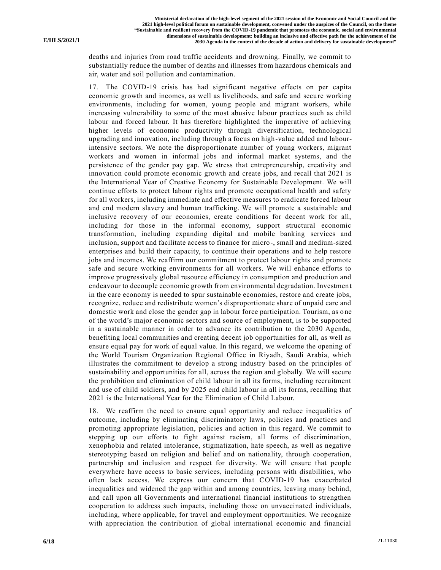deaths and injuries from road traffic accidents and drowning. Finally, we commit to substantially reduce the number of deaths and illnesses from hazardous chemicals and air, water and soil pollution and contamination.

17. The COVID-19 crisis has had significant negative effects on per capita economic growth and incomes, as well as livelihoods, and safe and secure working environments, including for women, young people and migrant workers, while increasing vulnerability to some of the most abusive labour practices such as child labour and forced labour. It has therefore highlighted the imperative of achieving higher levels of economic productivity through diversification, technological upgrading and innovation, including through a focus on high-value added and labourintensive sectors. We note the disproportionate number of young workers, migrant workers and women in informal jobs and informal market systems, and the persistence of the gender pay gap. We stress that entrepreneurship, creativity and innovation could promote economic growth and create jobs, and recall that 2021 is the International Year of Creative Economy for Sustainable Development. We will continue efforts to protect labour rights and promote occupational health and safety for all workers, including immediate and effective measures to eradicate forced labour and end modern slavery and human trafficking. We will promote a sustainable and inclusive recovery of our economies, create conditions for decent work for all, including for those in the informal economy, support structural economic transformation, including expanding digital and mobile banking services and inclusion, support and facilitate access to finance for micro-, small and medium-sized enterprises and build their capacity, to continue their operations and to help restore jobs and incomes. We reaffirm our commitment to protect labour rights and promote safe and secure working environments for all workers. We will enhance efforts to improve progressively global resource efficiency in consumption and production and endeavour to decouple economic growth from environmental degradation. Investment in the care economy is needed to spur sustainable economies, restore and create jobs, recognize, reduce and redistribute women's disproportionate share of unpaid care and domestic work and close the gender gap in labour force participation. Tourism, as o ne of the world's major economic sectors and source of employment, is to be supported in a sustainable manner in order to advance its contribution to the 2030 Agenda, benefiting local communities and creating decent job opportunities for all, as well as ensure equal pay for work of equal value. In this regard, we welcome the opening of the World Tourism Organization Regional Office in Riyadh, Saudi Arabia, which illustrates the commitment to develop a strong industry based on the principles of sustainability and opportunities for all, across the region and globally. We will secure the prohibition and elimination of child labour in all its forms, including recruitment and use of child soldiers, and by 2025 end child labour in all its forms, recalling that 2021 is the International Year for the Elimination of Child Labour.

18. We reaffirm the need to ensure equal opportunity and reduce inequalities of outcome, including by eliminating discriminatory laws, policies and practices and promoting appropriate legislation, policies and action in this regard. We commit to stepping up our efforts to fight against racism, all forms of discrimination, xenophobia and related intolerance, stigmatization, hate speech, as well as negative stereotyping based on religion and belief and on nationality, through cooperation, partnership and inclusion and respect for diversity. We will ensure that people everywhere have access to basic services, including persons with disabilities, who often lack access. We express our concern that COVID-19 has exacerbated inequalities and widened the gap within and among countries, leaving many behind, and call upon all Governments and international financial institutions to strengthen cooperation to address such impacts, including those on unvaccinated individuals, including, where applicable, for travel and employment opportunities. We recognize with appreciation the contribution of global international economic and financial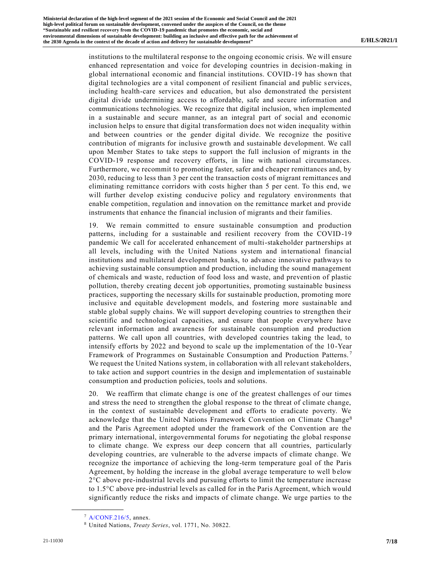institutions to the multilateral response to the ongoing economic crisis. We will ensure enhanced representation and voice for developing countries in decision-making in global international economic and financial institutions. COVID-19 has shown that digital technologies are a vital component of resilient financial and public services, including health-care services and education, but also demonstrated the persistent digital divide undermining access to affordable, safe and secure information and communications technologies. We recognize that digital inclusion, when implemented in a sustainable and secure manner, as an integral part of social and economic inclusion helps to ensure that digital transformation does not widen inequality within and between countries or the gender digital divide. We recognize the positive contribution of migrants for inclusive growth and sustainable development. We call upon Member States to take steps to support the full inclusion of migrants in the COVID-19 response and recovery efforts, in line with national circumstances. Furthermore, we recommit to promoting faster, safer and cheaper remittances and, by 2030, reducing to less than 3 per cent the transaction costs of migrant remittances and eliminating remittance corridors with costs higher than 5 per cent. To this end, we will further develop existing conducive policy and regulatory environments that enable competition, regulation and innovation on the remittance market and provide instruments that enhance the financial inclusion of migrants and their families.

19. We remain committed to ensure sustainable consumption and production patterns, including for a sustainable and resilient recovery from the COVID-19 pandemic We call for accelerated enhancement of multi-stakeholder partnerships at all levels, including with the United Nations system and international financial institutions and multilateral development banks, to advance innovative pathways to achieving sustainable consumption and production, including the sound management of chemicals and waste, reduction of food loss and waste, and prevention of plastic pollution, thereby creating decent job opportunities, promoting sustainable business practices, supporting the necessary skills for sustainable production, promoting more inclusive and equitable development models, and fostering more sustainable and stable global supply chains. We will support developing countries to strengthen their scientific and technological capacities, and ensure that people everywhere have relevant information and awareness for sustainable consumption and production patterns. We call upon all countries, with developed countries taking the lead, to intensify efforts by 2022 and beyond to scale up the implementation of the 10 -Year Framework of Programmes on Sustainable Consumption and Production Patterns. <sup>7</sup> We request the United Nations system, in collaboration with all relevant stakeholders, to take action and support countries in the design and implementation of sustainable consumption and production policies, tools and solutions.

20. We reaffirm that climate change is one of the greatest challenges of our times and stress the need to strengthen the global response to the threat of climate change, in the context of sustainable development and efforts to eradicate poverty. We acknowledge that the United Nations Framework Convention on Climate Change<sup>8</sup> and the Paris Agreement adopted under the framework of the Convention are the primary international, intergovernmental forums for negotiating the global response to climate change. We express our deep concern that all countries, particularly developing countries, are vulnerable to the adverse impacts of climate change. We recognize the importance of achieving the long-term temperature goal of the Paris Agreement, by holding the increase in the global average temperature to well below 2°C above pre-industrial levels and pursuing efforts to limit the temperature increase to 1.5°C above pre-industrial levels as called for in the Paris Agreement, which would significantly reduce the risks and impacts of climate change. We urge parties to the

 $7$  [A/CONF.216/5,](https://undocs.org/en/A/CONF.216/5) annex.

<sup>8</sup> United Nations, *Treaty Series*, vol. 1771, No. 30822.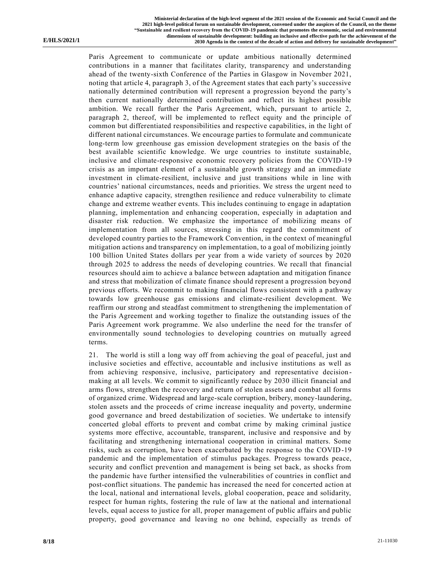Paris Agreement to communicate or update ambitious nationally determined contributions in a manner that facilitates clarity, transparency and understanding ahead of the twenty-sixth Conference of the Parties in Glasgow in November 2021, noting that article 4, paragraph 3, of the Agreement states that each party's successive nationally determined contribution will represent a progression beyond the party's then current nationally determined contribution and reflect its highest possible ambition. We recall further the Paris Agreement, which, pursuant to article 2, paragraph 2, thereof, will be implemented to reflect equity and the principle of common but differentiated responsibilities and respective capabilities, in the light of different national circumstances. We encourage parties to formulate and communicate long-term low greenhouse gas emission development strategies on the basis of the best available scientific knowledge. We urge countries to institute sustainable, inclusive and climate-responsive economic recovery policies from the COVID-19 crisis as an important element of a sustainable growth strategy and an immediate investment in climate-resilient, inclusive and just transitions while in line with countries' national circumstances, needs and priorities. We stress the urgent need to enhance adaptive capacity, strengthen resilience and reduce vulnerability to climate change and extreme weather events. This includes continuing to engage in adaptation planning, implementation and enhancing cooperation, especially in adaptation and disaster risk reduction. We emphasize the importance of mobilizing means of implementation from all sources, stressing in this regard the commitment of developed country parties to the Framework Convention, in the context of meaningful mitigation actions and transparency on implementation, to a goal of mobilizing jointly 100 billion United States dollars per year from a wide variety of sources by 2020 through 2025 to address the needs of developing countries. We recall that financial resources should aim to achieve a balance between adaptation and mitigation finance and stress that mobilization of climate finance should represent a progression beyond previous efforts. We recommit to making financial flows consistent with a pathway towards low greenhouse gas emissions and climate-resilient development. We reaffirm our strong and steadfast commitment to strengthening the implementation of the Paris Agreement and working together to finalize the outstanding issues of the Paris Agreement work programme. We also underline the need for the transfer of environmentally sound technologies to developing countries on mutually agreed terms.

21. The world is still a long way off from achieving the goal of peaceful, just and inclusive societies and effective, accountable and inclusive institutions as well as from achieving responsive, inclusive, participatory and representative decision making at all levels. We commit to significantly reduce by 2030 illicit financial and arms flows, strengthen the recovery and return of stolen assets and combat all forms of organized crime. Widespread and large-scale corruption, bribery, money-laundering, stolen assets and the proceeds of crime increase inequality and poverty, undermine good governance and breed destabilization of societies. We undertake to intensify concerted global efforts to prevent and combat crime by making criminal justice systems more effective, accountable, transparent, inclusive and responsive and by facilitating and strengthening international cooperation in criminal matters. Some risks, such as corruption, have been exacerbated by the response to the COVID-19 pandemic and the implementation of stimulus packages. Progress towards peace, security and conflict prevention and management is being set back, as shocks from the pandemic have further intensified the vulnerabilities of countries in conflict and post-conflict situations. The pandemic has increased the need for concerted action at the local, national and international levels, global cooperation, peace and solidarity, respect for human rights, fostering the rule of law at the national and international levels, equal access to justice for all, proper management of public affairs and public property, good governance and leaving no one behind, especially as trends of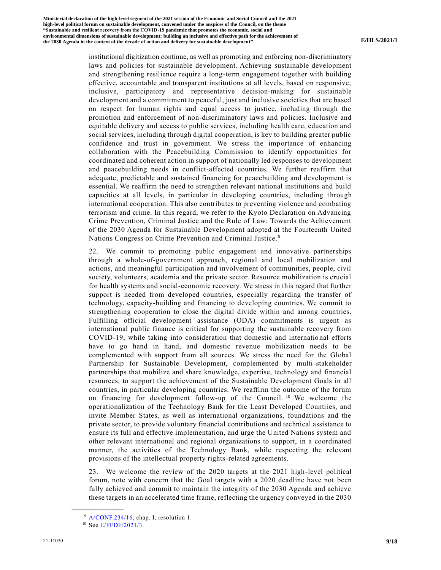institutional digitization continue, as well as promoting and enforcing non-discriminatory laws and policies for sustainable development. Achieving sustainable development and strengthening resilience require a long-term engagement together with building effective, accountable and transparent institutions at all levels, based on responsive, inclusive, participatory and representative decision-making for sustainable development and a commitment to peaceful, just and inclusive societies that are based on respect for human rights and equal access to justice, including through the promotion and enforcement of non-discriminatory laws and policies. Inclusive and equitable delivery and access to public services, including health care, education and social services, including through digital cooperation, is key to building greater public confidence and trust in government. We stress the importance of enhancing collaboration with the Peacebuilding Commission to identify opportunities for coordinated and coherent action in support of nationally led responses to development and peacebuilding needs in conflict-affected countries. We further reaffirm that adequate, predictable and sustained financing for peacebuilding and development is essential. We reaffirm the need to strengthen relevant national institutions and build capacities at all levels, in particular in developing countries, including through international cooperation. This also contributes to preventing violence and combating terrorism and crime. In this regard, we refer to the Kyoto Declaration on Advancing Crime Prevention, Criminal Justice and the Rule of Law: Towards the Achievement of the 2030 Agenda for Sustainable Development adopted at the Fourteenth United Nations Congress on Crime Prevention and Criminal Justice. <sup>9</sup>

22. We commit to promoting public engagement and innovative partnerships through a whole-of-government approach, regional and local mobilization and actions, and meaningful participation and involvement of communities, people, civil society, volunteers, academia and the private sector. Resource mobilization is crucial for health systems and social-economic recovery. We stress in this regard that further support is needed from developed countries, especially regarding the transfer of technology, capacity-building and financing to developing countries. We commit to strengthening cooperation to close the digital divide within and among countries. Fulfilling official development assistance (ODA) commitments is urgent as international public finance is critical for supporting the sustainable recovery from COVID-19, while taking into consideration that domestic and international efforts have to go hand in hand, and domestic revenue mobilization needs to be complemented with support from all sources. We stress the need for the Global Partnership for Sustainable Development, complemented by multi-stakeholder partnerships that mobilize and share knowledge, expertise, technology and financial resources, to support the achievement of the Sustainable Development Goals in all countries, in particular developing countries. We reaffirm the outcome of the forum on financing for development follow-up of the Council.<sup>10</sup> We welcome the operationalization of the Technology Bank for the Least Developed Countries, and invite Member States, as well as international organizations, foundations and the private sector, to provide voluntary financial contributions and technical assistance to ensure its full and effective implementation, and urge the United Nations system and other relevant international and regional organizations to support, in a coordinated manner, the activities of the Technology Bank, while respecting the relevant provisions of the intellectual property rights-related agreements.

23. We welcome the review of the 2020 targets at the 2021 high-level political forum, note with concern that the Goal targets with a 2020 deadline have not been fully achieved and commit to maintain the integrity of the 2030 Agenda and achieve these targets in an accelerated time frame, reflecting the urgency conveyed in the 2030

<sup>9</sup> [A/CONF.234/16,](https://undocs.org/en/A/CONF.234/16) chap. I, resolution 1.

<sup>10</sup> See [E/FFDF/2021/3.](https://undocs.org/en/E/FFDF/2021/3)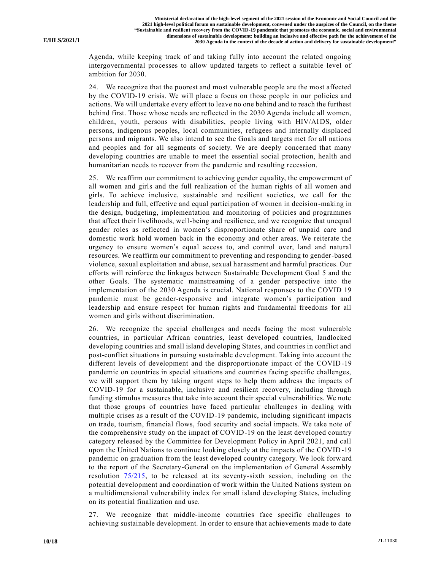Agenda, while keeping track of and taking fully into account the related ongoing intergovernmental processes to allow updated targets to reflect a suitable level of ambition for 2030.

24. We recognize that the poorest and most vulnerable people are the most affected by the COVID-19 crisis. We will place a focus on those people in our policies and actions. We will undertake every effort to leave no one behind and to reach the furthest behind first. Those whose needs are reflected in the 2030 Agenda include all women, children, youth, persons with disabilities, people living with HIV/AIDS, older persons, indigenous peoples, local communities, refugees and internally displaced persons and migrants. We also intend to see the Goals and targets met for all nations and peoples and for all segments of society. We are deeply concerned that many developing countries are unable to meet the essential social protection, health and humanitarian needs to recover from the pandemic and resulting recession.

25. We reaffirm our commitment to achieving gender equality, the empowerment of all women and girls and the full realization of the human rights of all women and girls. To achieve inclusive, sustainable and resilient societies, we call for the leadership and full, effective and equal participation of women in decision-making in the design, budgeting, implementation and monitoring of policies and programmes that affect their livelihoods, well-being and resilience, and we recognize that unequal gender roles as reflected in women's disproportionate share of unpaid care and domestic work hold women back in the economy and other areas. We reiterate the urgency to ensure women's equal access to, and control over, land and natural resources. We reaffirm our commitment to preventing and responding to gender-based violence, sexual exploitation and abuse, sexual harassment and harmful practices. Our efforts will reinforce the linkages between Sustainable Development Goal 5 and the other Goals. The systematic mainstreaming of a gender perspective into the implementation of the 2030 Agenda is crucial. National responses to the COVID 19 pandemic must be gender-responsive and integrate women's participation and leadership and ensure respect for human rights and fundamental freedoms for all women and girls without discrimination.

26. We recognize the special challenges and needs facing the most vulnerable countries, in particular African countries, least developed countries, landlocked developing countries and small island developing States, and countries in conflict and post-conflict situations in pursuing sustainable development. Taking into account the different levels of development and the disproportionate impact of the COVID-19 pandemic on countries in special situations and countries facing specific challenges, we will support them by taking urgent steps to help them address the impacts of COVID-19 for a sustainable, inclusive and resilient recovery, including through funding stimulus measures that take into account their special vulnerabilities. We note that those groups of countries have faced particular challenges in dealing with multiple crises as a result of the COVID-19 pandemic, including significant impacts on trade, tourism, financial flows, food security and social impacts. We take note of the comprehensive study on the impact of COVID-19 on the least developed country category released by the Committee for Development Policy in April 2021, and call upon the United Nations to continue looking closely at the impacts of the COVID-19 pandemic on graduation from the least developed country category. We look forward to the report of the Secretary-General on the implementation of General Assembly resolution [75/215,](https://undocs.org/en/A/RES/75/215) to be released at its seventy-sixth session, including on the potential development and coordination of work within the United Nations system on a multidimensional vulnerability index for small island developing States, including on its potential finalization and use.

27. We recognize that middle-income countries face specific challenges to achieving sustainable development. In order to ensure that achievements made to date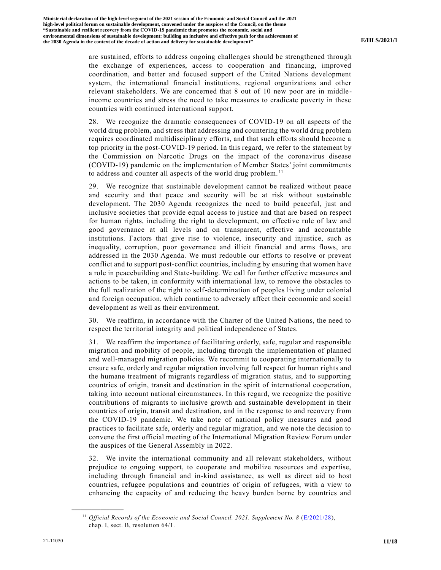are sustained, efforts to address ongoing challenges should be strengthened throu gh the exchange of experiences, access to cooperation and financing, improved coordination, and better and focused support of the United Nations development system, the international financial institutions, regional organizations and other relevant stakeholders. We are concerned that 8 out of 10 new poor are in middleincome countries and stress the need to take measures to eradicate poverty in these countries with continued international support.

28. We recognize the dramatic consequences of COVID-19 on all aspects of the world drug problem, and stress that addressing and countering the world drug problem requires coordinated multidisciplinary efforts, and that such efforts should become a top priority in the post-COVID-19 period. In this regard, we refer to the statement by the Commission on Narcotic Drugs on the impact of the coronavirus disease (COVID-19) pandemic on the implementation of Member States' joint commitments to address and counter all aspects of the world drug problem.<sup>11</sup>

29. We recognize that sustainable development cannot be realized without peace and security and that peace and security will be at risk without sustainable development. The 2030 Agenda recognizes the need to build peaceful, just and inclusive societies that provide equal access to justice and that are based on respect for human rights, including the right to development, on effective rule of law and good governance at all levels and on transparent, effective and accountable institutions. Factors that give rise to violence, insecurity and injustice, such as inequality, corruption, poor governance and illicit financial and arms flows, are addressed in the 2030 Agenda. We must redouble our efforts to resolve or prevent conflict and to support post-conflict countries, including by ensuring that women have a role in peacebuilding and State-building. We call for further effective measures and actions to be taken, in conformity with international law, to remove the obstacles to the full realization of the right to self-determination of peoples living under colonial and foreign occupation, which continue to adversely affect their economic and social development as well as their environment.

30. We reaffirm, in accordance with the Charter of the United Nations, the need to respect the territorial integrity and political independence of States.

31. We reaffirm the importance of facilitating orderly, safe, regular and responsible migration and mobility of people, including through the implementation of planned and well-managed migration policies. We recommit to cooperating internationally to ensure safe, orderly and regular migration involving full respect for human rights and the humane treatment of migrants regardless of migration status, and to supporting countries of origin, transit and destination in the spirit of international cooperation, taking into account national circumstances. In this regard, we recognize the positive contributions of migrants to inclusive growth and sustainable development in their countries of origin, transit and destination, and in the response to and recovery from the COVID-19 pandemic. We take note of national policy measures and good practices to facilitate safe, orderly and regular migration, and we note the decision to convene the first official meeting of the International Migration Review Forum under the auspices of the General Assembly in 2022.

32. We invite the international community and all relevant stakeholders, without prejudice to ongoing support, to cooperate and mobilize resources and expertise, including through financial and in-kind assistance, as well as direct aid to host countries, refugee populations and countries of origin of refugees, with a view to enhancing the capacity of and reducing the heavy burden borne by countries and

<sup>&</sup>lt;sup>11</sup> *Official Records of the Economic and Social Council, 2021, Supplement No. 8* [\(E/2021/28\)](https://undocs.org/en/E/2021/28), chap. I, sect. B, resolution 64/1.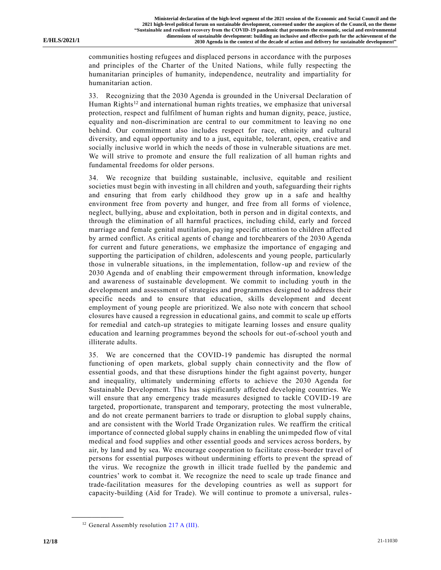communities hosting refugees and displaced persons in accordance with the purposes and principles of the Charter of the United Nations, while fully respecting the humanitarian principles of humanity, independence, neutrality and impartiality for humanitarian action.

33. Recognizing that the 2030 Agenda is grounded in the Universal Declaration of Human Rights<sup>12</sup> and international human rights treaties, we emphasize that universal protection, respect and fulfilment of human rights and human dignity, peace, justice, equality and non-discrimination are central to our commitment to leaving no one behind. Our commitment also includes respect for race, ethnicity and cultural diversity, and equal opportunity and to a just, equitable, tolerant, open, creative and socially inclusive world in which the needs of those in vulnerable situations are met. We will strive to promote and ensure the full realization of all human rights and fundamental freedoms for older persons.

34. We recognize that building sustainable, inclusive, equitable and resilient societies must begin with investing in all children and youth, safeguarding their rights and ensuring that from early childhood they grow up in a safe and healthy environment free from poverty and hunger, and free from all forms of violence, neglect, bullying, abuse and exploitation, both in person and in digital contexts, and through the elimination of all harmful practices, including child, early and forced marriage and female genital mutilation, paying specific attention to children affect ed by armed conflict. As critical agents of change and torchbearers of the 2030 Agenda for current and future generations, we emphasize the importance of engaging and supporting the participation of children, adolescents and young people, particularly those in vulnerable situations, in the implementation, follow-up and review of the 2030 Agenda and of enabling their empowerment through information, knowledge and awareness of sustainable development. We commit to including youth in the development and assessment of strategies and programmes designed to address their specific needs and to ensure that education, skills development and decent employment of young people are prioritized. We also note with concern that school closures have caused a regression in educational gains, and commit to scale up efforts for remedial and catch-up strategies to mitigate learning losses and ensure quality education and learning programmes beyond the schools for out-of-school youth and illiterate adults.

35. We are concerned that the COVID-19 pandemic has disrupted the normal functioning of open markets, global supply chain connectivity and the flow of essential goods, and that these disruptions hinder the fight against poverty, hunger and inequality, ultimately undermining efforts to achieve the 2030 Agenda for Sustainable Development. This has significantly affected developing countries. We will ensure that any emergency trade measures designed to tackle COVID-19 are targeted, proportionate, transparent and temporary, protecting the most vulnerable, and do not create permanent barriers to trade or disruption to global supply chains, and are consistent with the World Trade Organization rules. We reaffirm the critical importance of connected global supply chains in enabling the unimpeded flow of vital medical and food supplies and other essential goods and services across borders, by air, by land and by sea. We encourage cooperation to facilitate cross-border travel of persons for essential purposes without undermining efforts to prevent the spread of the virus. We recognize the growth in illicit trade fuelled by the pandemic and countries' work to combat it. We recognize the need to scale up trade finance and trade-facilitation measures for the developing countries as well as support for capacity-building (Aid for Trade). We will continue to promote a universal, rules-

<sup>&</sup>lt;sup>12</sup> General Assembly resolution [217 A \(III\).](https://undocs.org/en/A/RES/217(III))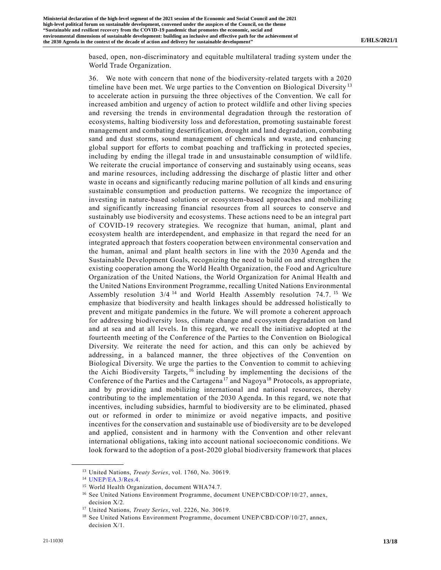based, open, non-discriminatory and equitable multilateral trading system under the World Trade Organization.

36. We note with concern that none of the biodiversity-related targets with a 2020 timeline have been met. We urge parties to the Convention on Biological Diversity<sup>13</sup> to accelerate action in pursuing the three objectives of the Convention. We call for increased ambition and urgency of action to protect wildlife and other living species and reversing the trends in environmental degradation through the restoration of ecosystems, halting biodiversity loss and deforestation, promoting sustainable forest management and combating desertification, drought and land degradation, combating sand and dust storms, sound management of chemicals and waste, and enhancing global support for efforts to combat poaching and trafficking in protected species, including by ending the illegal trade in and unsustainable consumption of wild life. We reiterate the crucial importance of conserving and sustainably using oceans, seas and marine resources, including addressing the discharge of plastic litter and other waste in oceans and significantly reducing marine pollution of all kinds and ensuring sustainable consumption and production patterns. We recognize the importance of investing in nature-based solutions or ecosystem-based approaches and mobilizing and significantly increasing financial resources from all sources to conserve and sustainably use biodiversity and ecosystems. These actions need to be an integral part of COVID-19 recovery strategies. We recognize that human, animal, plant and ecosystem health are interdependent, and emphasize in that regard the need for an integrated approach that fosters cooperation between environmental conservation and the human, animal and plant health sectors in line with the 2030 Agenda and the Sustainable Development Goals, recognizing the need to build on and strengthen the existing cooperation among the World Health Organization, the Food and Agriculture Organization of the United Nations, the World Organization for Animal Health and the United Nations Environment Programme, recalling United Nations Environmental Assembly resolution 3/4<sup>14</sup> and World Health Assembly resolution 74.7.<sup>15</sup> We emphasize that biodiversity and health linkages should be addressed holistically to prevent and mitigate pandemics in the future. We will promote a coherent approach for addressing biodiversity loss, climate change and ecosystem degradation on land and at sea and at all levels. In this regard, we recall the initiative adopted at the fourteenth meeting of the Conference of the Parties to the Convention on Biological Diversity. We reiterate the need for action, and this can only be achieved by addressing, in a balanced manner, the three objectives of the Convention on Biological Diversity. We urge the parties to the Convention to commit to achieving the Aichi Biodiversity Targets, <sup>16</sup> including by implementing the decisions of the Conference of the Parties and the Cartagena<sup>17</sup> and Nagoya<sup>18</sup> Protocols, as appropriate, and by providing and mobilizing international and national resources, thereby contributing to the implementation of the 2030 Agenda. In this regard, we note that incentives, including subsidies, harmful to biodiversity are to be eliminated, phased out or reformed in order to minimize or avoid negative impacts, and positive incentives for the conservation and sustainable use of biodiversity are to be developed and applied, consistent and in harmony with the Convention and other relevant international obligations, taking into account national socioeconomic conditions. We look forward to the adoption of a post-2020 global biodiversity framework that places

<sup>13</sup> United Nations, *Treaty Series*, vol. 1760, No. 30619.

<sup>14</sup> [UNEP/EA.3/Res.4.](https://undocs.org/en/UNEP/EA.3/Res.4)

<sup>15</sup> World Health Organization, document WHA74.7.

<sup>&</sup>lt;sup>16</sup> See United Nations Environment Programme, document UNEP/CBD/COP/10/27, annex, decision X/2.

<sup>17</sup> United Nations, *Treaty Series*, vol. 2226, No. 30619.

<sup>&</sup>lt;sup>18</sup> See United Nations Environment Programme, document UNEP/CBD/COP/10/27, annex, decision X/1.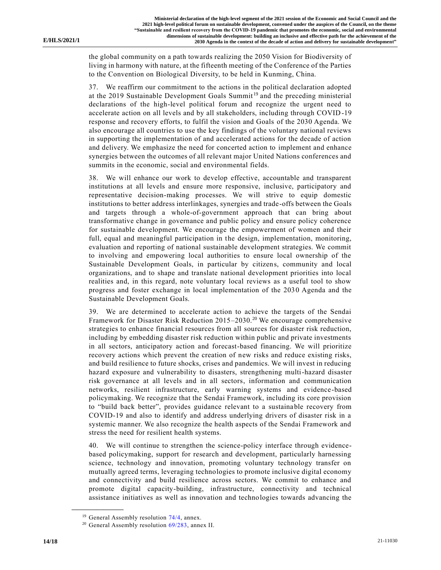the global community on a path towards realizing the 2050 Vision for Biodiversity of living in harmony with nature, at the fifteenth meeting of the Conference of the Parties to the Convention on Biological Diversity, to be held in Kunming, China.

37. We reaffirm our commitment to the actions in the political declaration adopted at the 2019 Sustainable Development Goals Summit <sup>19</sup> and the preceding ministerial declarations of the high-level political forum and recognize the urgent need to accelerate action on all levels and by all stakeholders, including through COVID-19 response and recovery efforts, to fulfil the vision and Goals of the 2030 Agenda. We also encourage all countries to use the key findings of the voluntary national reviews in supporting the implementation of and accelerated actions for the decade of action and delivery. We emphasize the need for concerted action to implement and enhance synergies between the outcomes of all relevant major United Nations conferences and summits in the economic, social and environmental fields.

38. We will enhance our work to develop effective, accountable and transparent institutions at all levels and ensure more responsive, inclusive, participatory and representative decision-making processes. We will strive to equip domestic institutions to better address interlinkages, synergies and trade-offs between the Goals and targets through a whole-of-government approach that can bring about transformative change in governance and public policy and ensure policy coherence for sustainable development. We encourage the empowerment of women and their full, equal and meaningful participation in the design, implementation, monitoring, evaluation and reporting of national sustainable development strategies. We commit to involving and empowering local authorities to ensure local ownership of the Sustainable Development Goals, in particular by citizens, community and local organizations, and to shape and translate national development priorities into local realities and, in this regard, note voluntary local reviews as a useful tool to show progress and foster exchange in local implementation of the 2030 Agenda and the Sustainable Development Goals.

39. We are determined to accelerate action to achieve the targets of the Sendai Framework for Disaster Risk Reduction 2015–2030.<sup>20</sup> We encourage comprehensive strategies to enhance financial resources from all sources for disaster risk reduction, including by embedding disaster risk reduction within public and private investments in all sectors, anticipatory action and forecast-based financing. We will prioritize recovery actions which prevent the creation of new risks and reduce existing risks, and build resilience to future shocks, crises and pandemics. We will invest in reducing hazard exposure and vulnerability to disasters, strengthening multi-hazard disaster risk governance at all levels and in all sectors, information and communication networks, resilient infrastructure, early warning systems and evidence-based policymaking. We recognize that the Sendai Framework, including its core provision to "build back better", provides guidance relevant to a sustainable recovery from COVID-19 and also to identify and address underlying drivers of disaster risk in a systemic manner. We also recognize the health aspects of the Sendai Framework and stress the need for resilient health systems.

40. We will continue to strengthen the science-policy interface through evidencebased policymaking, support for research and development, particularly harnessing science, technology and innovation, promoting voluntary technology transfer on mutually agreed terms, leveraging technologies to promote inclusive digital economy and connectivity and build resilience across sectors. We commit to enhance and promote digital capacity-building, infrastructure, connectivity and technical assistance initiatives as well as innovation and technologies towards advancing the

<sup>&</sup>lt;sup>19</sup> General Assembly resolution  $74/4$ , annex.

 $20$  General Assembly resolution  $69/283$ , annex II.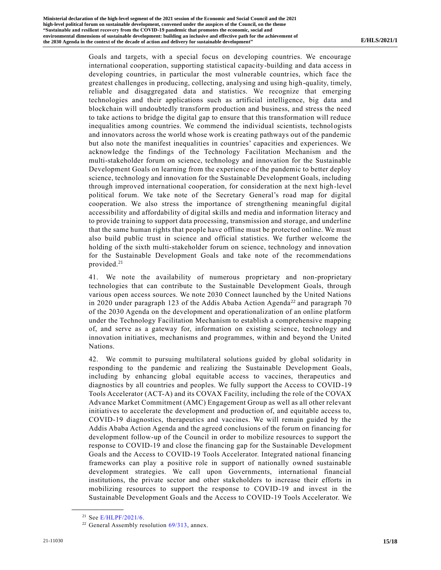Goals and targets, with a special focus on developing countries. We encourage international cooperation, supporting statistical capacity-building and data access in developing countries, in particular the most vulnerable countries, which face the greatest challenges in producing, collecting, analysing and using high-quality, timely, reliable and disaggregated data and statistics. We recognize that emerging technologies and their applications such as artificial intelligence, big data and blockchain will undoubtedly transform production and business, and stress the need to take actions to bridge the digital gap to ensure that this transformation will reduce inequalities among countries. We commend the individual scientists, technologists and innovators across the world whose work is creating pathways out of the pandemic but also note the manifest inequalities in countries' capacities and experiences. We acknowledge the findings of the Technology Facilitation Mechanism and the multi-stakeholder forum on science, technology and innovation for the Sustainable Development Goals on learning from the experience of the pandemic to better deploy science, technology and innovation for the Sustainable Development Goals, including through improved international cooperation, for consideration at the next high-level political forum. We take note of the Secretary General's road map for digital cooperation. We also stress the importance of strengthening meaningful digital accessibility and affordability of digital skills and media and information literacy and to provide training to support data processing, transmission and storage, and underline that the same human rights that people have offline must be protected online. We must also build public trust in science and official statistics. We further welcome the holding of the sixth multi-stakeholder forum on science, technology and innovation for the Sustainable Development Goals and take note of the recommendations provided.<sup>21</sup>

41. We note the availability of numerous proprietary and non-proprietary technologies that can contribute to the Sustainable Development Goals, through various open access sources. We note 2030 Connect launched by the United Nations in 2020 under paragraph 123 of the Addis Ababa Action Agenda<sup>22</sup> and paragraph 70 of the 2030 Agenda on the development and operationalization of an online platform under the Technology Facilitation Mechanism to establish a comprehensive mapping of, and serve as a gateway for, information on existing science, technology and innovation initiatives, mechanisms and programmes, within and beyond the United Nations.

42. We commit to pursuing multilateral solutions guided by global solidarity in responding to the pandemic and realizing the Sustainable Development Goals, including by enhancing global equitable access to vaccines, therapeutics and diagnostics by all countries and peoples. We fully support the Access to COVID-19 Tools Accelerator (ACT-A) and its COVAX Facility, including the role of the COVAX Advance Market Commitment (AMC) Engagement Group as well as all other relevant initiatives to accelerate the development and production of, and equitable access to, COVID-19 diagnostics, therapeutics and vaccines. We will remain guided by the Addis Ababa Action Agenda and the agreed conclusions of the forum on financing for development follow-up of the Council in order to mobilize resources to support the response to COVID-19 and close the financing gap for the Sustainable Development Goals and the Access to COVID-19 Tools Accelerator. Integrated national financing frameworks can play a positive role in support of nationally owned sustainable development strategies. We call upon Governments, international financial institutions, the private sector and other stakeholders to increase their efforts in mobilizing resources to support the response to COVID-19 and invest in the Sustainable Development Goals and the Access to COVID-19 Tools Accelerator. We

<sup>21</sup> See [E/HLPF/2021/6.](https://undocs.org/en/E/HLPF/2021/6)

<sup>&</sup>lt;sup>22</sup> General Assembly resolution  $69/313$ , annex.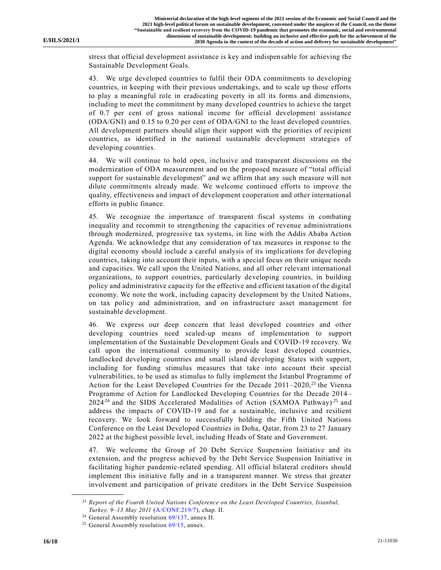stress that official development assistance is key and indispensable for achieving the Sustainable Development Goals.

43. We urge developed countries to fulfil their ODA commitments to developing countries, in keeping with their previous undertakings, and to scale up those efforts to play a meaningful role in eradicating poverty in all its forms and dimensions, including to meet the commitment by many developed countries to achieve the target of 0.7 per cent of gross national income for official development assistance (ODA/GNI) and 0.15 to 0.20 per cent of ODA/GNI to the least developed countries. All development partners should align their support with the priorities of recipient countries, as identified in the national sustainable development strategies of developing countries.

44. We will continue to hold open, inclusive and transparent discussions on the modernization of ODA measurement and on the proposed measure of "total official support for sustainable development" and we affirm that any such measure will not dilute commitments already made. We welcome continued efforts to improve the quality, effectiveness and impact of development cooperation and other international efforts in public finance.

45. We recognize the importance of transparent fiscal systems in combating inequality and recommit to strengthening the capacities of revenue administrations through modernized, progressive tax systems, in line with the Addis Ababa Action Agenda. We acknowledge that any consideration of tax measures in response to the digital economy should include a careful analysis of its implications for developing countries, taking into account their inputs, with a special focus on their unique needs and capacities. We call upon the United Nations, and all other relevant international organizations, to support countries, particularly developing countries, in building policy and administrative capacity for the effective and efficient taxation of the digital economy. We note the work, including capacity development by the United Nations, on tax policy and administration, and on infrastructure asset management for sustainable development.

46. We express our deep concern that least developed countries and other developing countries need scaled-up means of implementation to support implementation of the Sustainable Development Goals and COVID-19 recovery. We call upon the international community to provide least developed countries, landlocked developing countries and small island developing States with support, including for funding stimulus measures that take into account their special vulnerabilities, to be used as stimulus to fully implement the Istanbul Programme of Action for the Least Developed Countries for the Decade  $2011-2020$ ,<sup>23</sup> the Vienna Programme of Action for Landlocked Developing Countries for the Decade 2014 –  $2024<sup>24</sup>$  and the SIDS Accelerated Modalities of Action (SAMOA Pathway)<sup>25</sup> and address the impacts of COVID-19 and for a sustainable, inclusive and resilient recovery. We look forward to successfully holding the Fifth United Nations Conference on the Least Developed Countries in Doha, Qatar, from 23 to 27 January 2022 at the highest possible level, including Heads of State and Government.

47. We welcome the Group of 20 Debt Service Suspension Initiative and its extension, and the progress achieved by the Debt Service Suspension Initiative in facilitating higher pandemic-related spending. All official bilateral creditors should implement this initiative fully and in a transparent manner. We stress that greater involvement and participation of private creditors in the Debt Service Suspension

<sup>23</sup> *Report of the Fourth United Nations Conference on the Least Developed Countries, Istanbul, Turkey, 9–13 May 2011* [\(A/CONF.219/7\)](https://undocs.org/en/A/CONF.219/7), chap. II.

<sup>&</sup>lt;sup>24</sup> General Assembly resolution [69/137,](https://undocs.org/en/A/RES/69/137) annex II.

<sup>&</sup>lt;sup>25</sup> General Assembly resolution  $69/15$ , annex.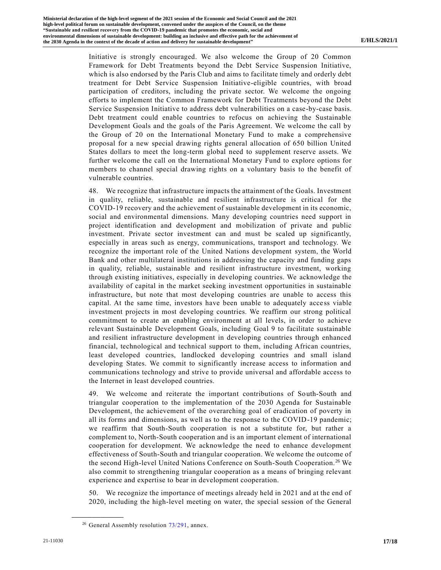Initiative is strongly encouraged. We also welcome the Group of 20 Common Framework for Debt Treatments beyond the Debt Service Suspension Initiative, which is also endorsed by the Paris Club and aims to facilitate timely and orderly debt treatment for Debt Service Suspension Initiative-eligible countries, with broad participation of creditors, including the private sector. We welcome the ongoing efforts to implement the Common Framework for Debt Treatments beyond the Debt Service Suspension Initiative to address debt vulnerabilities on a case-by-case basis. Debt treatment could enable countries to refocus on achieving the Sustainable Development Goals and the goals of the Paris Agreement. We welcome the call by the Group of 20 on the International Monetary Fund to make a comprehensive proposal for a new special drawing rights general allocation of 650 billion United States dollars to meet the long-term global need to supplement reserve assets. We further welcome the call on the International Monetary Fund to explore options for members to channel special drawing rights on a voluntary basis to the benefit of vulnerable countries.

48. We recognize that infrastructure impacts the attainment of the Goals. Investment in quality, reliable, sustainable and resilient infrastructure is critical for the COVID-19 recovery and the achievement of sustainable development in its economic, social and environmental dimensions. Many developing countries need support in project identification and development and mobilization of private and public investment. Private sector investment can and must be scaled up significantly, especially in areas such as energy, communications, transport and technology. We recognize the important role of the United Nations development system, the World Bank and other multilateral institutions in addressing the capacity and funding gaps in quality, reliable, sustainable and resilient infrastructure investment, working through existing initiatives, especially in developing countries. We acknowledge the availability of capital in the market seeking investment opportunities in sustainable infrastructure, but note that most developing countries are unable to access this capital. At the same time, investors have been unable to adequately access viable investment projects in most developing countries. We reaffirm our strong political commitment to create an enabling environment at all levels, in order to achieve relevant Sustainable Development Goals, including Goal 9 to facilitate sustainable and resilient infrastructure development in developing countries through enhanced financial, technological and technical support to them, including African countries, least developed countries, landlocked developing countries and small island developing States. We commit to significantly increase access to information and communications technology and strive to provide universal and affordable access to the Internet in least developed countries.

49. We welcome and reiterate the important contributions of South-South and triangular cooperation to the implementation of the 2030 Agenda for Sustainable Development, the achievement of the overarching goal of eradication of poverty in all its forms and dimensions, as well as to the response to the COVID-19 pandemic; we reaffirm that South-South cooperation is not a substitute for, but rather a complement to, North-South cooperation and is an important element of international cooperation for development. We acknowledge the need to enhance development effectiveness of South-South and triangular cooperation. We welcome the outcome of the second High-level United Nations Conference on South-South Cooperation.<sup>26</sup> We also commit to strengthening triangular cooperation as a means of bringing relevant experience and expertise to bear in development cooperation.

50. We recognize the importance of meetings already held in 2021 and at the end of 2020, including the high-level meeting on water, the special session of the General

<sup>&</sup>lt;sup>26</sup> General Assembly resolution [73/291,](https://undocs.org/en/A/RES/73/291) annex.